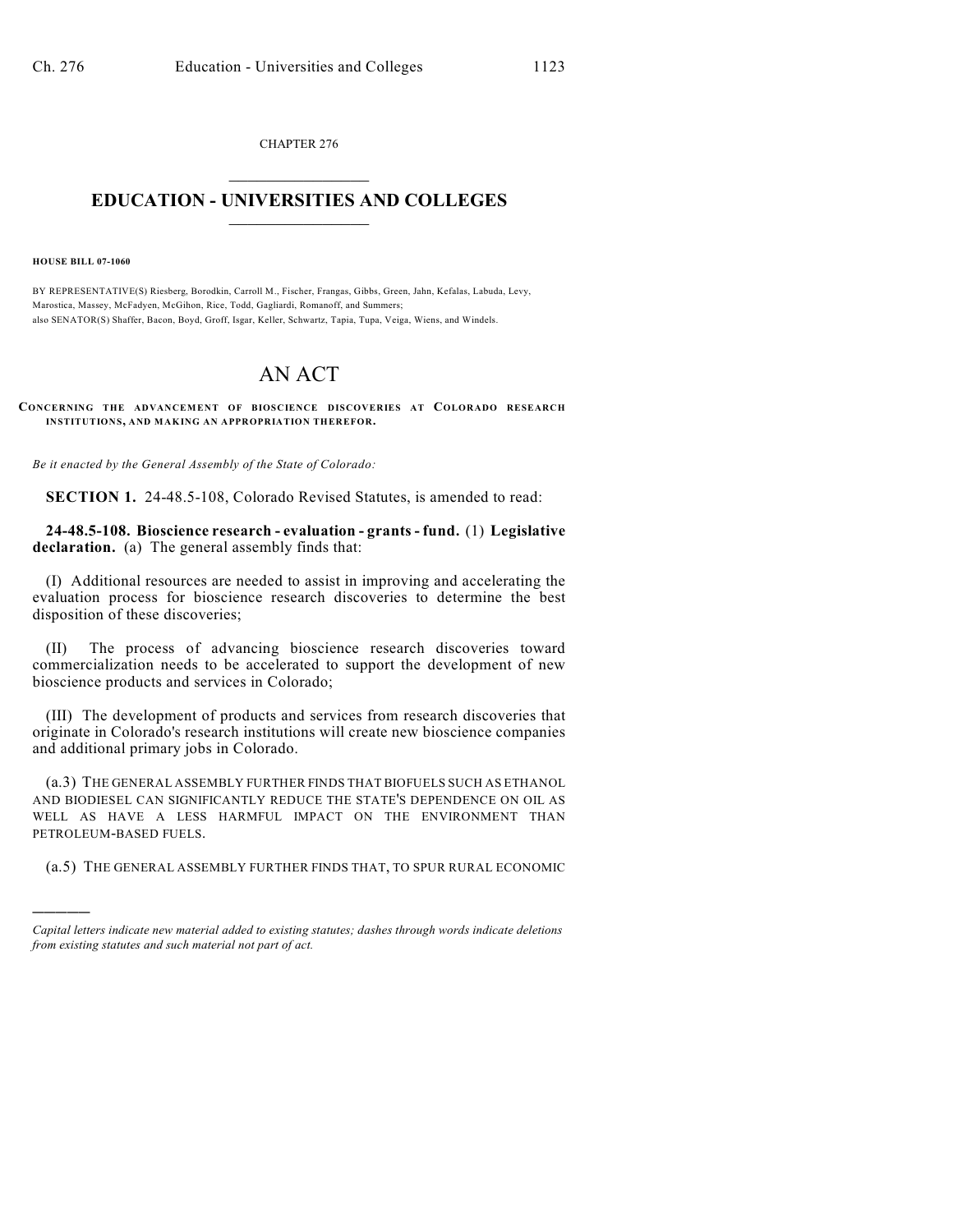CHAPTER 276  $\overline{\phantom{a}}$  . The set of the set of the set of the set of the set of the set of the set of the set of the set of the set of the set of the set of the set of the set of the set of the set of the set of the set of the set o

## **EDUCATION - UNIVERSITIES AND COLLEGES**  $\_$

**HOUSE BILL 07-1060**

)))))

BY REPRESENTATIVE(S) Riesberg, Borodkin, Carroll M., Fischer, Frangas, Gibbs, Green, Jahn, Kefalas, Labuda, Levy, Marostica, Massey, McFadyen, McGihon, Rice, Todd, Gagliardi, Romanoff, and Summers; also SENATOR(S) Shaffer, Bacon, Boyd, Groff, Isgar, Keller, Schwartz, Tapia, Tupa, Veiga, Wiens, and Windels.

## AN ACT

**CONCERNING THE ADVANCEMENT OF BIOSCIENCE DISCOVERIES AT COLORADO RESEARCH INSTITUTIONS, AND MAKING AN APPROPRIATION THEREFOR.**

*Be it enacted by the General Assembly of the State of Colorado:*

**SECTION 1.** 24-48.5-108, Colorado Revised Statutes, is amended to read:

**24-48.5-108. Bioscience research - evaluation - grants - fund.** (1) **Legislative declaration.** (a) The general assembly finds that:

(I) Additional resources are needed to assist in improving and accelerating the evaluation process for bioscience research discoveries to determine the best disposition of these discoveries;

(II) The process of advancing bioscience research discoveries toward commercialization needs to be accelerated to support the development of new bioscience products and services in Colorado;

(III) The development of products and services from research discoveries that originate in Colorado's research institutions will create new bioscience companies and additional primary jobs in Colorado.

(a.3) THE GENERAL ASSEMBLY FURTHER FINDS THAT BIOFUELS SUCH AS ETHANOL AND BIODIESEL CAN SIGNIFICANTLY REDUCE THE STATE'S DEPENDENCE ON OIL AS WELL AS HAVE A LESS HARMFUL IMPACT ON THE ENVIRONMENT THAN PETROLEUM-BASED FUELS.

(a.5) THE GENERAL ASSEMBLY FURTHER FINDS THAT, TO SPUR RURAL ECONOMIC

*Capital letters indicate new material added to existing statutes; dashes through words indicate deletions from existing statutes and such material not part of act.*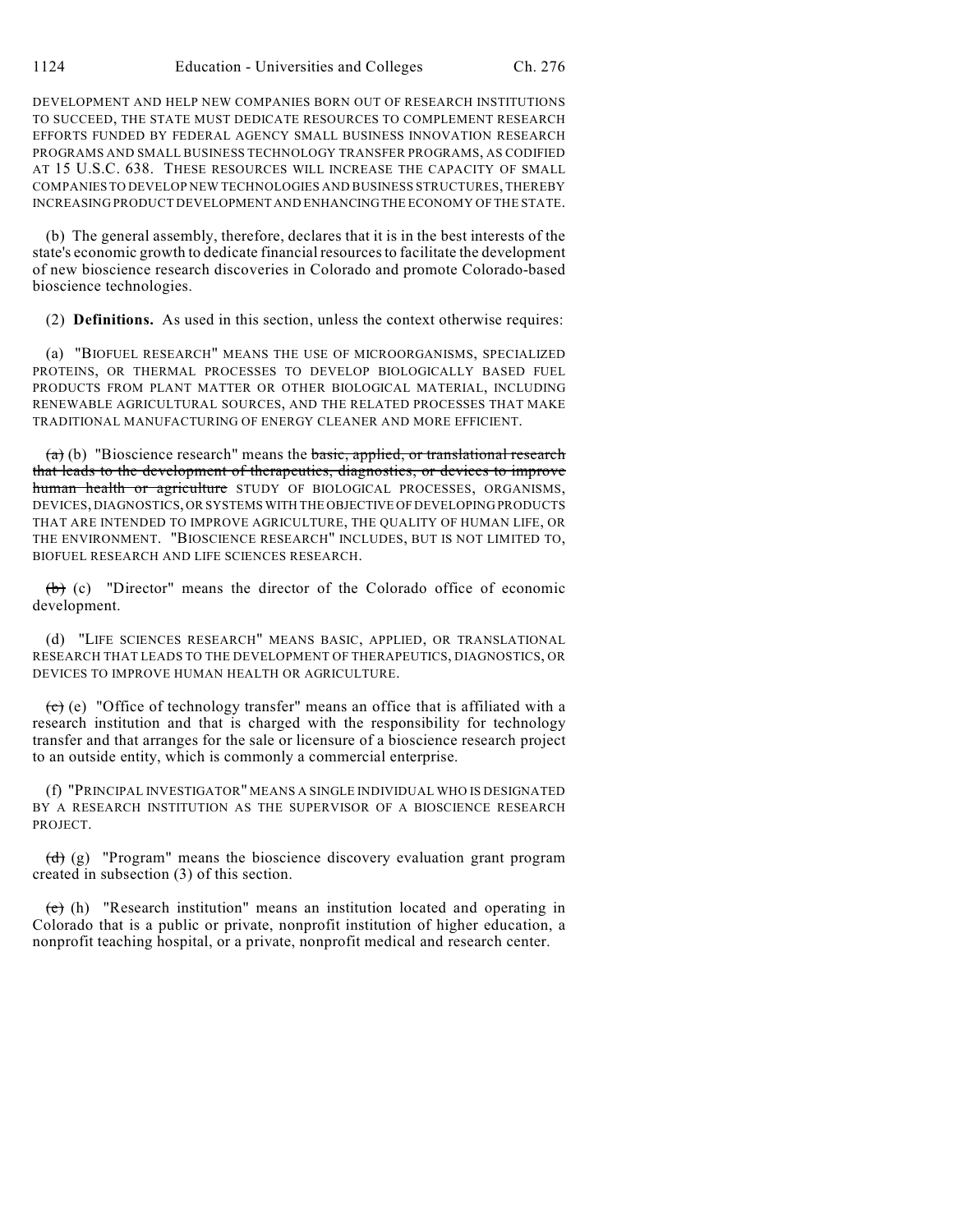DEVELOPMENT AND HELP NEW COMPANIES BORN OUT OF RESEARCH INSTITUTIONS TO SUCCEED, THE STATE MUST DEDICATE RESOURCES TO COMPLEMENT RESEARCH EFFORTS FUNDED BY FEDERAL AGENCY SMALL BUSINESS INNOVATION RESEARCH PROGRAMS AND SMALL BUSINESS TECHNOLOGY TRANSFER PROGRAMS, AS CODIFIED AT 15 U.S.C. 638. THESE RESOURCES WILL INCREASE THE CAPACITY OF SMALL COMPANIES TO DEVELOP NEW TECHNOLOGIES AND BUSINESS STRUCTURES, THEREBY INCREASING PRODUCT DEVELOPMENT AND ENHANCING THE ECONOMY OF THE STATE.

(b) The general assembly, therefore, declares that it is in the best interests of the state's economic growth to dedicate financial resources to facilitate the development of new bioscience research discoveries in Colorado and promote Colorado-based bioscience technologies.

(2) **Definitions.** As used in this section, unless the context otherwise requires:

(a) "BIOFUEL RESEARCH" MEANS THE USE OF MICROORGANISMS, SPECIALIZED PROTEINS, OR THERMAL PROCESSES TO DEVELOP BIOLOGICALLY BASED FUEL PRODUCTS FROM PLANT MATTER OR OTHER BIOLOGICAL MATERIAL, INCLUDING RENEWABLE AGRICULTURAL SOURCES, AND THE RELATED PROCESSES THAT MAKE TRADITIONAL MANUFACTURING OF ENERGY CLEANER AND MORE EFFICIENT.

 $(a)$  (b) "Bioscience research" means the basic, applied, or translational research that leads to the development of therapeutics, diagnostics, or devices to improve human health or agriculture STUDY OF BIOLOGICAL PROCESSES, ORGANISMS, DEVICES, DIAGNOSTICS, OR SYSTEMS WITH THE OBJECTIVE OF DEVELOPING PRODUCTS THAT ARE INTENDED TO IMPROVE AGRICULTURE, THE QUALITY OF HUMAN LIFE, OR THE ENVIRONMENT. "BIOSCIENCE RESEARCH" INCLUDES, BUT IS NOT LIMITED TO, BIOFUEL RESEARCH AND LIFE SCIENCES RESEARCH.

(b) (c) "Director" means the director of the Colorado office of economic development.

(d) "LIFE SCIENCES RESEARCH" MEANS BASIC, APPLIED, OR TRANSLATIONAL RESEARCH THAT LEADS TO THE DEVELOPMENT OF THERAPEUTICS, DIAGNOSTICS, OR DEVICES TO IMPROVE HUMAN HEALTH OR AGRICULTURE.

 $\overline{(c)}$  (e) "Office of technology transfer" means an office that is affiliated with a research institution and that is charged with the responsibility for technology transfer and that arranges for the sale or licensure of a bioscience research project to an outside entity, which is commonly a commercial enterprise.

(f) "PRINCIPAL INVESTIGATOR" MEANS A SINGLE INDIVIDUAL WHO IS DESIGNATED BY A RESEARCH INSTITUTION AS THE SUPERVISOR OF A BIOSCIENCE RESEARCH PROJECT.

 $(\overrightarrow{d})$  (g) "Program" means the bioscience discovery evaluation grant program created in subsection (3) of this section.

(e) (h) "Research institution" means an institution located and operating in Colorado that is a public or private, nonprofit institution of higher education, a nonprofit teaching hospital, or a private, nonprofit medical and research center.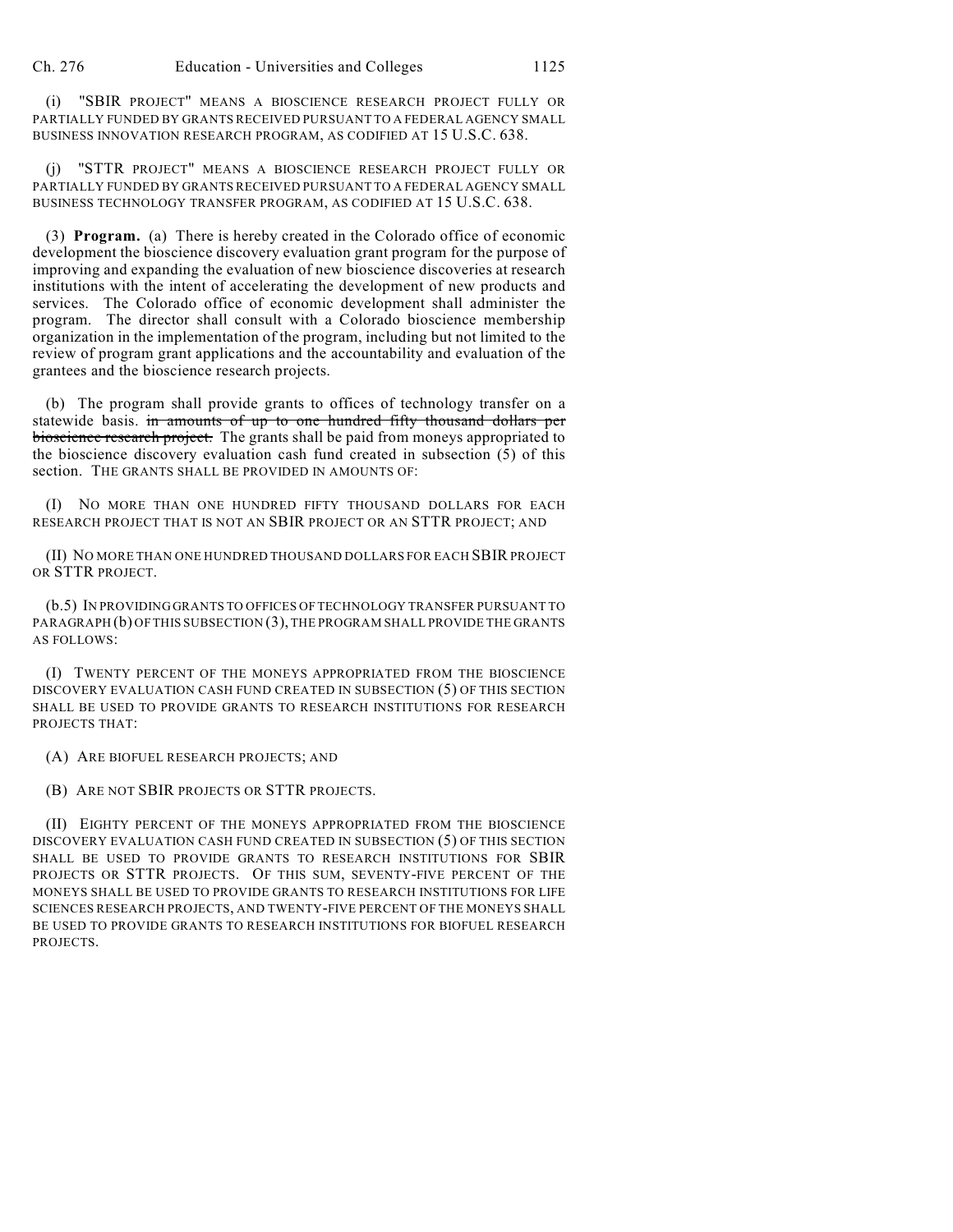(i) "SBIR PROJECT" MEANS A BIOSCIENCE RESEARCH PROJECT FULLY OR PARTIALLY FUNDED BY GRANTS RECEIVED PURSUANT TO A FEDERAL AGENCY SMALL BUSINESS INNOVATION RESEARCH PROGRAM, AS CODIFIED AT 15 U.S.C. 638.

(j) "STTR PROJECT" MEANS A BIOSCIENCE RESEARCH PROJECT FULLY OR PARTIALLY FUNDED BY GRANTS RECEIVED PURSUANT TO A FEDERAL AGENCY SMALL BUSINESS TECHNOLOGY TRANSFER PROGRAM, AS CODIFIED AT 15 U.S.C. 638.

(3) **Program.** (a) There is hereby created in the Colorado office of economic development the bioscience discovery evaluation grant program for the purpose of improving and expanding the evaluation of new bioscience discoveries at research institutions with the intent of accelerating the development of new products and services. The Colorado office of economic development shall administer the program. The director shall consult with a Colorado bioscience membership organization in the implementation of the program, including but not limited to the review of program grant applications and the accountability and evaluation of the grantees and the bioscience research projects.

(b) The program shall provide grants to offices of technology transfer on a statewide basis. in amounts of up to one hundred fifty thousand dollars per bioscience research project. The grants shall be paid from moneys appropriated to the bioscience discovery evaluation cash fund created in subsection (5) of this section. THE GRANTS SHALL BE PROVIDED IN AMOUNTS OF:

(I) NO MORE THAN ONE HUNDRED FIFTY THOUSAND DOLLARS FOR EACH RESEARCH PROJECT THAT IS NOT AN SBIR PROJECT OR AN STTR PROJECT; AND

(II) NO MORE THAN ONE HUNDRED THOUSAND DOLLARS FOR EACH SBIR PROJECT OR STTR PROJECT.

(b.5) IN PROVIDING GRANTS TO OFFICES OFTECHNOLOGY TRANSFER PURSUANT TO PARAGRAPH (b) OF THIS SUBSECTION (3), THE PROGRAM SHALL PROVIDE THE GRANTS AS FOLLOWS:

(I) TWENTY PERCENT OF THE MONEYS APPROPRIATED FROM THE BIOSCIENCE DISCOVERY EVALUATION CASH FUND CREATED IN SUBSECTION (5) OF THIS SECTION SHALL BE USED TO PROVIDE GRANTS TO RESEARCH INSTITUTIONS FOR RESEARCH PROJECTS THAT:

(A) ARE BIOFUEL RESEARCH PROJECTS; AND

(B) ARE NOT SBIR PROJECTS OR STTR PROJECTS.

(II) EIGHTY PERCENT OF THE MONEYS APPROPRIATED FROM THE BIOSCIENCE DISCOVERY EVALUATION CASH FUND CREATED IN SUBSECTION (5) OF THIS SECTION SHALL BE USED TO PROVIDE GRANTS TO RESEARCH INSTITUTIONS FOR SBIR PROJECTS OR STTR PROJECTS. OF THIS SUM, SEVENTY-FIVE PERCENT OF THE MONEYS SHALL BE USED TO PROVIDE GRANTS TO RESEARCH INSTITUTIONS FOR LIFE SCIENCES RESEARCH PROJECTS, AND TWENTY-FIVE PERCENT OF THE MONEYS SHALL BE USED TO PROVIDE GRANTS TO RESEARCH INSTITUTIONS FOR BIOFUEL RESEARCH PROJECTS.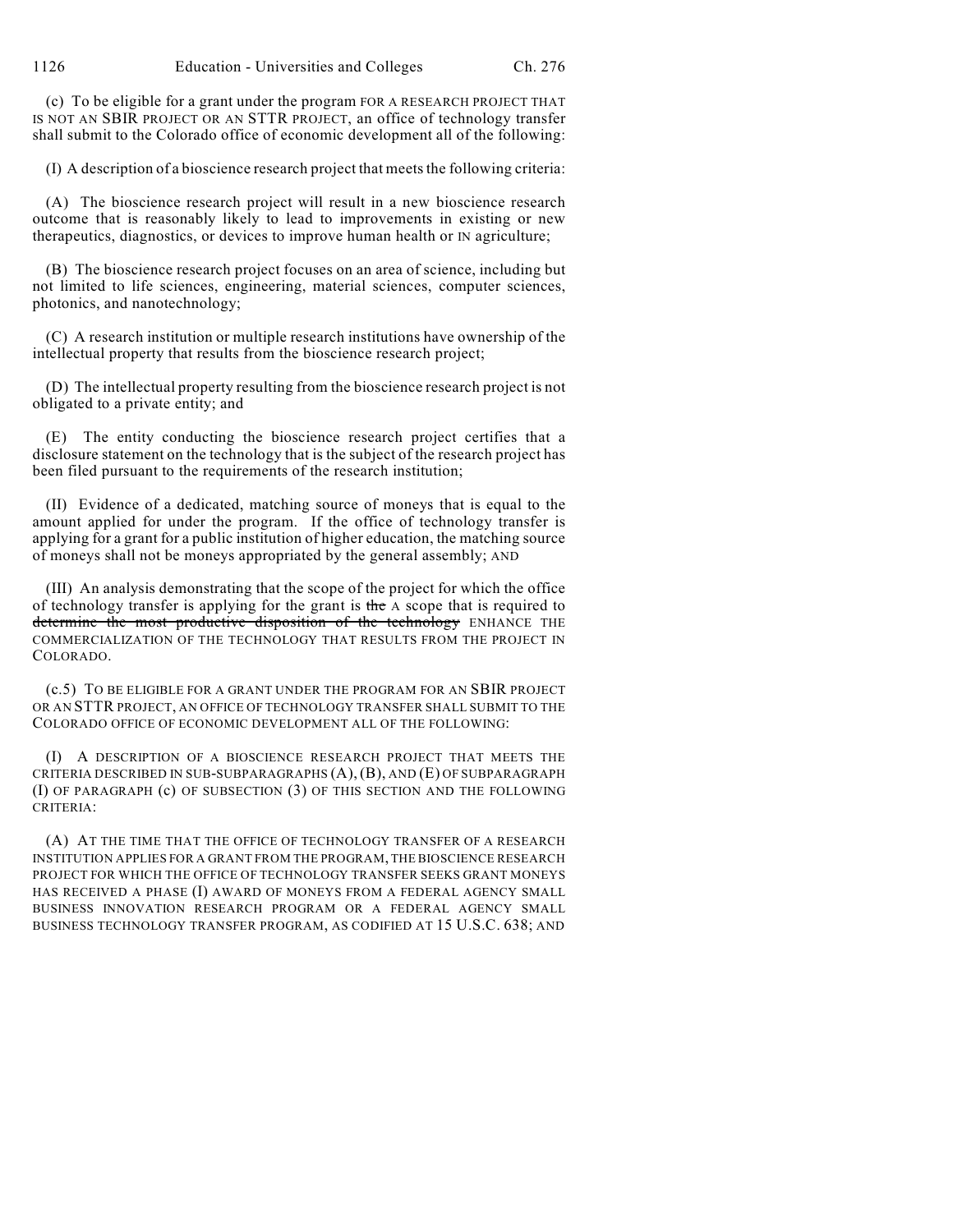(c) To be eligible for a grant under the program FOR A RESEARCH PROJECT THAT IS NOT AN SBIR PROJECT OR AN STTR PROJECT, an office of technology transfer shall submit to the Colorado office of economic development all of the following:

(I) A description of a bioscience research project that meets the following criteria:

(A) The bioscience research project will result in a new bioscience research outcome that is reasonably likely to lead to improvements in existing or new therapeutics, diagnostics, or devices to improve human health or IN agriculture;

(B) The bioscience research project focuses on an area of science, including but not limited to life sciences, engineering, material sciences, computer sciences, photonics, and nanotechnology;

(C) A research institution or multiple research institutions have ownership of the intellectual property that results from the bioscience research project;

(D) The intellectual property resulting from the bioscience research project is not obligated to a private entity; and

(E) The entity conducting the bioscience research project certifies that a disclosure statement on the technology that is the subject of the research project has been filed pursuant to the requirements of the research institution;

(II) Evidence of a dedicated, matching source of moneys that is equal to the amount applied for under the program. If the office of technology transfer is applying for a grant for a public institution of higher education, the matching source of moneys shall not be moneys appropriated by the general assembly; AND

(III) An analysis demonstrating that the scope of the project for which the office of technology transfer is applying for the grant is the A scope that is required to determine the most productive disposition of the technology ENHANCE THE COMMERCIALIZATION OF THE TECHNOLOGY THAT RESULTS FROM THE PROJECT IN COLORADO.

(c.5) TO BE ELIGIBLE FOR A GRANT UNDER THE PROGRAM FOR AN SBIR PROJECT OR AN STTR PROJECT, AN OFFICE OF TECHNOLOGY TRANSFER SHALL SUBMIT TO THE COLORADO OFFICE OF ECONOMIC DEVELOPMENT ALL OF THE FOLLOWING:

(I) A DESCRIPTION OF A BIOSCIENCE RESEARCH PROJECT THAT MEETS THE CRITERIA DESCRIBED IN SUB-SUBPARAGRAPHS (A), (B), AND (E) OF SUBPARAGRAPH (I) OF PARAGRAPH (c) OF SUBSECTION (3) OF THIS SECTION AND THE FOLLOWING CRITERIA:

(A) AT THE TIME THAT THE OFFICE OF TECHNOLOGY TRANSFER OF A RESEARCH INSTITUTION APPLIES FOR A GRANT FROM THE PROGRAM, THE BIOSCIENCE RESEARCH PROJECT FOR WHICH THE OFFICE OF TECHNOLOGY TRANSFER SEEKS GRANT MONEYS HAS RECEIVED A PHASE (I) AWARD OF MONEYS FROM A FEDERAL AGENCY SMALL BUSINESS INNOVATION RESEARCH PROGRAM OR A FEDERAL AGENCY SMALL BUSINESS TECHNOLOGY TRANSFER PROGRAM, AS CODIFIED AT 15 U.S.C. 638; AND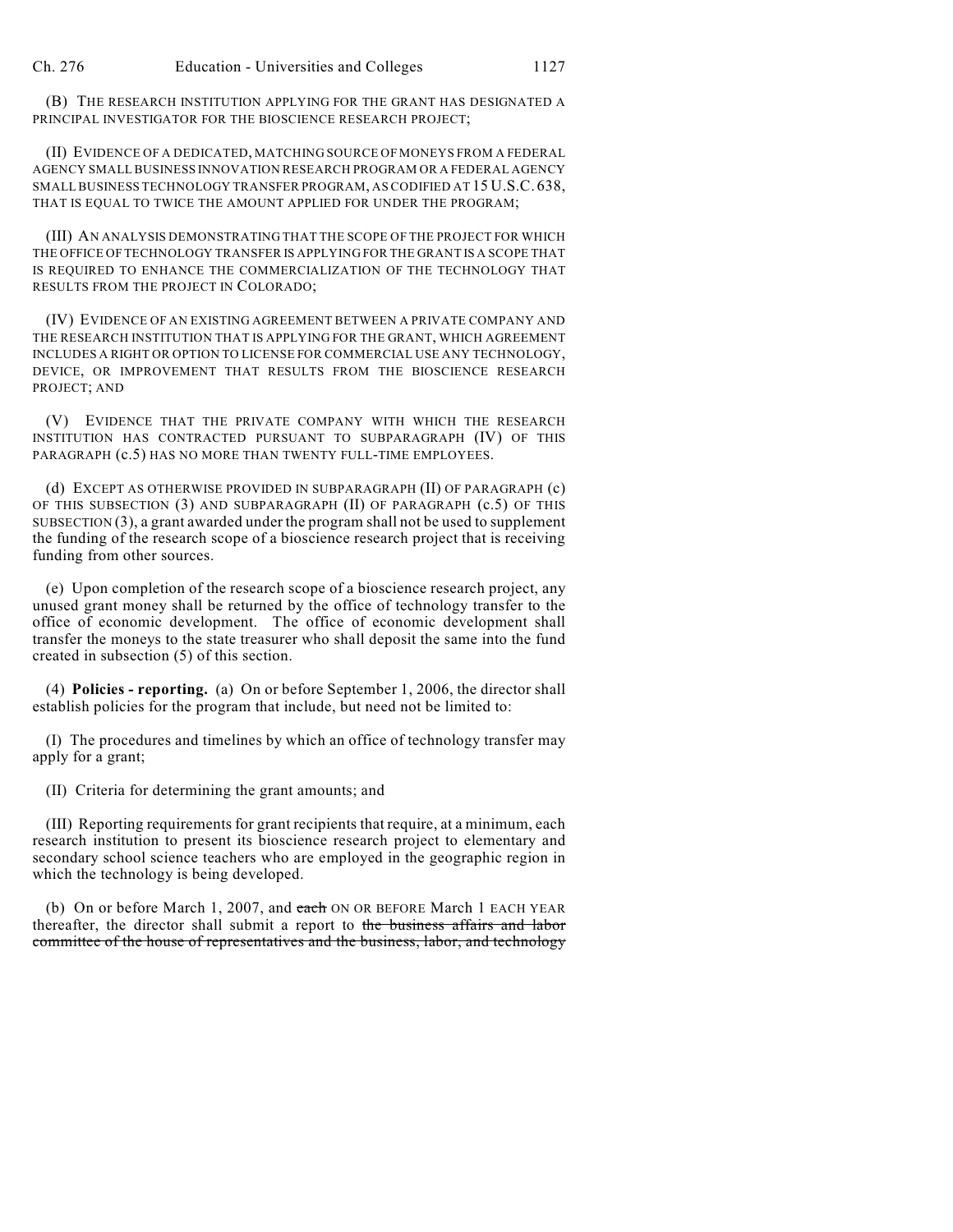(B) THE RESEARCH INSTITUTION APPLYING FOR THE GRANT HAS DESIGNATED A PRINCIPAL INVESTIGATOR FOR THE BIOSCIENCE RESEARCH PROJECT;

(II) EVIDENCE OF A DEDICATED, MATCHING SOURCE OF MONEYS FROM A FEDERAL AGENCY SMALL BUSINESS INNOVATION RESEARCH PROGRAM OR A FEDERAL AGENCY SMALL BUSINESS TECHNOLOGY TRANSFER PROGRAM, AS CODIFIED AT 15 U.S.C. 638, THAT IS EQUAL TO TWICE THE AMOUNT APPLIED FOR UNDER THE PROGRAM;

(III) AN ANALYSIS DEMONSTRATING THAT THE SCOPE OF THE PROJECT FOR WHICH THE OFFICE OF TECHNOLOGY TRANSFER IS APPLYING FOR THE GRANT IS A SCOPE THAT IS REQUIRED TO ENHANCE THE COMMERCIALIZATION OF THE TECHNOLOGY THAT RESULTS FROM THE PROJECT IN COLORADO;

(IV) EVIDENCE OF AN EXISTING AGREEMENT BETWEEN A PRIVATE COMPANY AND THE RESEARCH INSTITUTION THAT IS APPLYING FOR THE GRANT, WHICH AGREEMENT INCLUDES A RIGHT OR OPTION TO LICENSE FOR COMMERCIAL USE ANY TECHNOLOGY, DEVICE, OR IMPROVEMENT THAT RESULTS FROM THE BIOSCIENCE RESEARCH PROJECT; AND

(V) EVIDENCE THAT THE PRIVATE COMPANY WITH WHICH THE RESEARCH INSTITUTION HAS CONTRACTED PURSUANT TO SUBPARAGRAPH (IV) OF THIS PARAGRAPH  $(c.5)$  HAS NO MORE THAN TWENTY FULL-TIME EMPLOYEES.

(d) EXCEPT AS OTHERWISE PROVIDED IN SUBPARAGRAPH (II) OF PARAGRAPH (c) OF THIS SUBSECTION (3) AND SUBPARAGRAPH (II) OF PARAGRAPH (c.5) OF THIS SUBSECTION (3), a grant awarded under the program shall not be used to supplement the funding of the research scope of a bioscience research project that is receiving funding from other sources.

(e) Upon completion of the research scope of a bioscience research project, any unused grant money shall be returned by the office of technology transfer to the office of economic development. The office of economic development shall transfer the moneys to the state treasurer who shall deposit the same into the fund created in subsection (5) of this section.

(4) **Policies - reporting.** (a) On or before September 1, 2006, the director shall establish policies for the program that include, but need not be limited to:

(I) The procedures and timelines by which an office of technology transfer may apply for a grant;

(II) Criteria for determining the grant amounts; and

(III) Reporting requirements for grant recipients that require, at a minimum, each research institution to present its bioscience research project to elementary and secondary school science teachers who are employed in the geographic region in which the technology is being developed.

(b) On or before March 1, 2007, and each ON OR BEFORE March 1 EACH YEAR thereafter, the director shall submit a report to the business affairs and labor committee of the house of representatives and the business, labor, and technology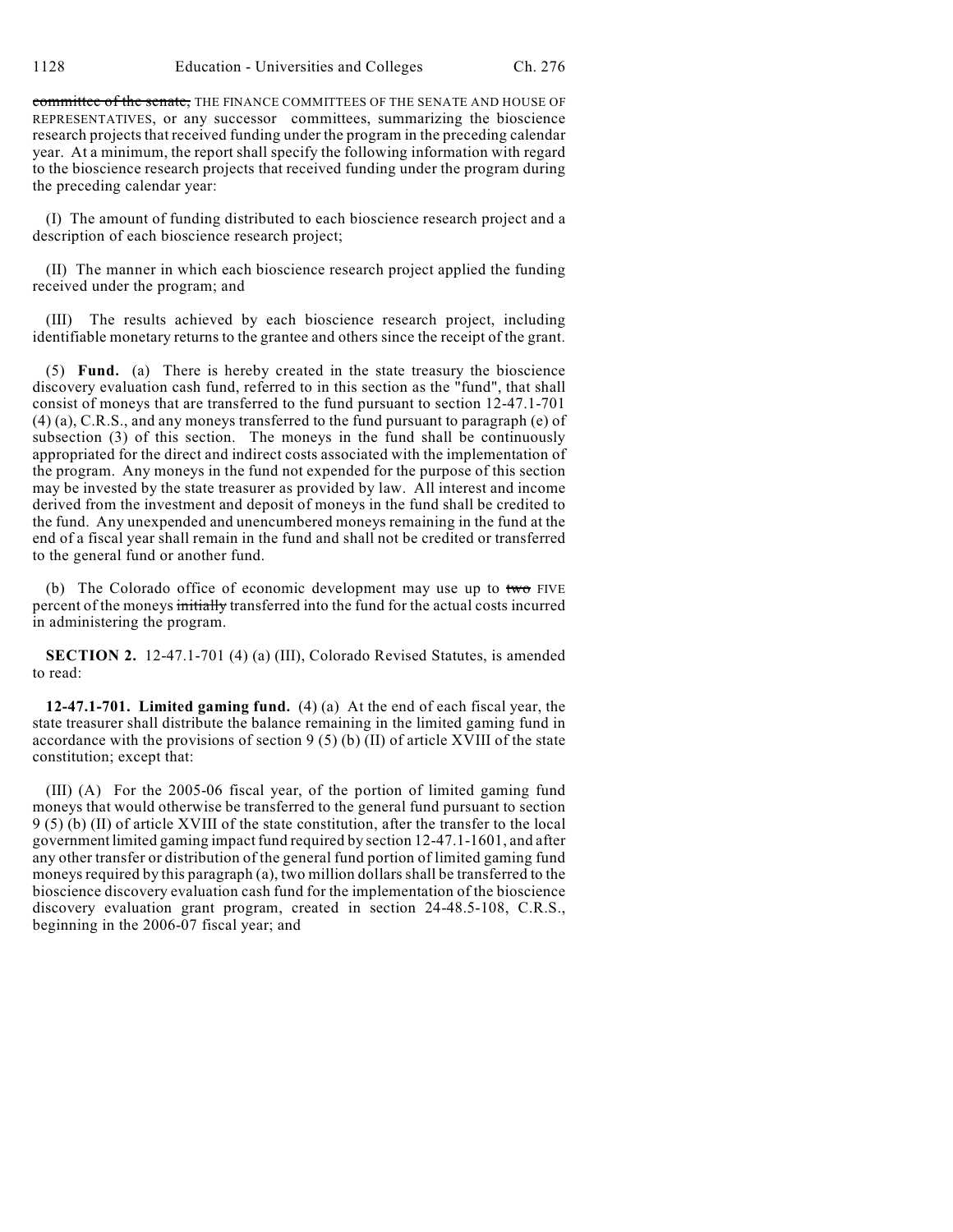committee of the senate, THE FINANCE COMMITTEES OF THE SENATE AND HOUSE OF REPRESENTATIVES, or any successor committees, summarizing the bioscience research projects that received funding under the program in the preceding calendar year. At a minimum, the report shall specify the following information with regard to the bioscience research projects that received funding under the program during the preceding calendar year:

(I) The amount of funding distributed to each bioscience research project and a description of each bioscience research project;

(II) The manner in which each bioscience research project applied the funding received under the program; and

(III) The results achieved by each bioscience research project, including identifiable monetary returns to the grantee and others since the receipt of the grant.

(5) **Fund.** (a) There is hereby created in the state treasury the bioscience discovery evaluation cash fund, referred to in this section as the "fund", that shall consist of moneys that are transferred to the fund pursuant to section 12-47.1-701 (4) (a), C.R.S., and any moneys transferred to the fund pursuant to paragraph (e) of subsection (3) of this section. The moneys in the fund shall be continuously appropriated for the direct and indirect costs associated with the implementation of the program. Any moneys in the fund not expended for the purpose of this section may be invested by the state treasurer as provided by law. All interest and income derived from the investment and deposit of moneys in the fund shall be credited to the fund. Any unexpended and unencumbered moneys remaining in the fund at the end of a fiscal year shall remain in the fund and shall not be credited or transferred to the general fund or another fund.

(b) The Colorado office of economic development may use up to  $t_{\text{w}}$  FIVE percent of the moneys initially transferred into the fund for the actual costs incurred in administering the program.

**SECTION 2.** 12-47.1-701 (4) (a) (III), Colorado Revised Statutes, is amended to read:

**12-47.1-701. Limited gaming fund.** (4) (a) At the end of each fiscal year, the state treasurer shall distribute the balance remaining in the limited gaming fund in accordance with the provisions of section  $9(5)(b)(II)$  of article XVIII of the state constitution; except that:

(III) (A) For the 2005-06 fiscal year, of the portion of limited gaming fund moneys that would otherwise be transferred to the general fund pursuant to section 9 (5) (b) (II) of article XVIII of the state constitution, after the transfer to the local government limited gaming impact fund required by section 12-47.1-1601, and after any other transfer or distribution of the general fund portion of limited gaming fund moneys required by this paragraph (a), two million dollars shall be transferred to the bioscience discovery evaluation cash fund for the implementation of the bioscience discovery evaluation grant program, created in section 24-48.5-108, C.R.S., beginning in the 2006-07 fiscal year; and